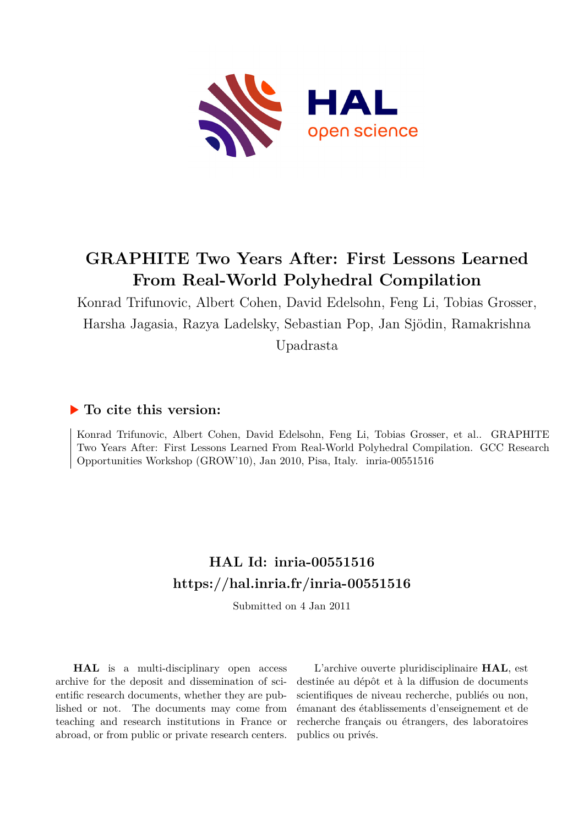

# **GRAPHITE Two Years After: First Lessons Learned From Real-World Polyhedral Compilation**

Konrad Trifunovic, Albert Cohen, David Edelsohn, Feng Li, Tobias Grosser, Harsha Jagasia, Razya Ladelsky, Sebastian Pop, Jan Sjödin, Ramakrishna Upadrasta

# **To cite this version:**

Konrad Trifunovic, Albert Cohen, David Edelsohn, Feng Li, Tobias Grosser, et al.. GRAPHITE Two Years After: First Lessons Learned From Real-World Polyhedral Compilation. GCC Research Opportunities Workshop (GROW'10), Jan 2010, Pisa, Italy. inria-00551516

# **HAL Id: inria-00551516 <https://hal.inria.fr/inria-00551516>**

Submitted on 4 Jan 2011

**HAL** is a multi-disciplinary open access archive for the deposit and dissemination of scientific research documents, whether they are published or not. The documents may come from teaching and research institutions in France or abroad, or from public or private research centers.

L'archive ouverte pluridisciplinaire **HAL**, est destinée au dépôt et à la diffusion de documents scientifiques de niveau recherche, publiés ou non, émanant des établissements d'enseignement et de recherche français ou étrangers, des laboratoires publics ou privés.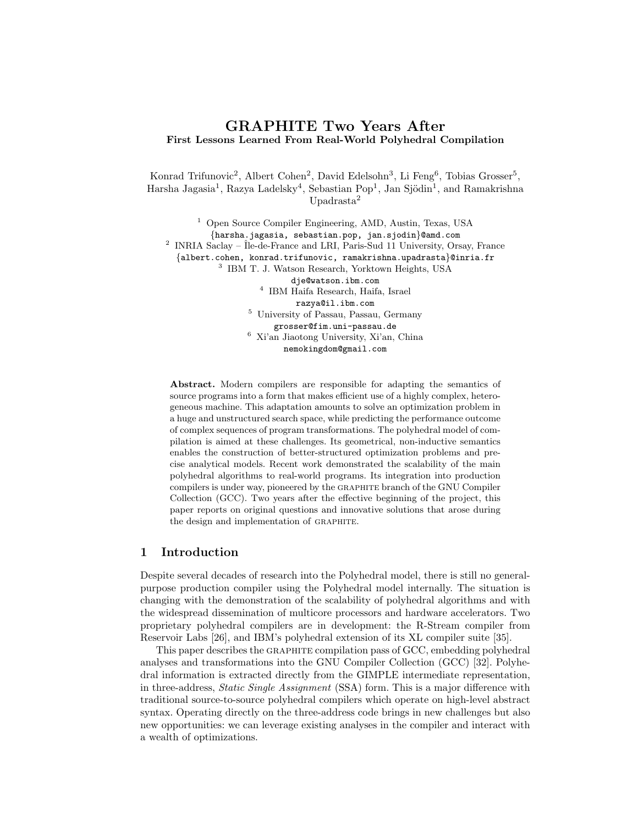# GRAPHITE Two Years After First Lessons Learned From Real-World Polyhedral Compilation

Konrad Trifunovic<sup>2</sup>, Albert Cohen<sup>2</sup>, David Edelsohn<sup>3</sup>, Li Feng<sup>6</sup>, Tobias Grosser<sup>5</sup>, Harsha Jagasia<sup>1</sup>, Razya Ladelsky<sup>4</sup>, Sebastian Pop<sup>1</sup>, Jan Sjödin<sup>1</sup>, and Ramakrishna Upadrasta<sup>2</sup>

<sup>1</sup> Open Source Compiler Engineering, AMD, Austin, Texas, USA {harsha.jagasia, sebastian.pop, jan.sjodin}@amd.com <sup>2</sup> INRIA Saclay – Île-de-France and LRI, Paris-Sud 11 University, Orsay, France {albert.cohen, konrad.trifunovic, ramakrishna.upadrasta}@inria.fr 3 IBM T. J. Watson Research, Yorktown Heights, USA dje@watson.ibm.com 4 IBM Haifa Research, Haifa, Israel razya@il.ibm.com <sup>5</sup> University of Passau, Passau, Germany grosser@fim.uni-passau.de <sup>6</sup> Xi'an Jiaotong University, Xi'an, China

nemokingdom@gmail.com

Abstract. Modern compilers are responsible for adapting the semantics of source programs into a form that makes efficient use of a highly complex, heterogeneous machine. This adaptation amounts to solve an optimization problem in a huge and unstructured search space, while predicting the performance outcome of complex sequences of program transformations. The polyhedral model of compilation is aimed at these challenges. Its geometrical, non-inductive semantics enables the construction of better-structured optimization problems and precise analytical models. Recent work demonstrated the scalability of the main polyhedral algorithms to real-world programs. Its integration into production compilers is under way, pioneered by the graphite branch of the GNU Compiler Collection (GCC). Two years after the effective beginning of the project, this paper reports on original questions and innovative solutions that arose during the design and implementation of graphite.

# 1 Introduction

Despite several decades of research into the Polyhedral model, there is still no generalpurpose production compiler using the Polyhedral model internally. The situation is changing with the demonstration of the scalability of polyhedral algorithms and with the widespread dissemination of multicore processors and hardware accelerators. Two proprietary polyhedral compilers are in development: the R-Stream compiler from Reservoir Labs [26], and IBM's polyhedral extension of its XL compiler suite [35].

This paper describes the graphite compilation pass of GCC, embedding polyhedral analyses and transformations into the GNU Compiler Collection (GCC) [32]. Polyhedral information is extracted directly from the GIMPLE intermediate representation, in three-address, *Static Single Assignment* (SSA) form. This is a major difference with traditional source-to-source polyhedral compilers which operate on high-level abstract syntax. Operating directly on the three-address code brings in new challenges but also new opportunities: we can leverage existing analyses in the compiler and interact with a wealth of optimizations.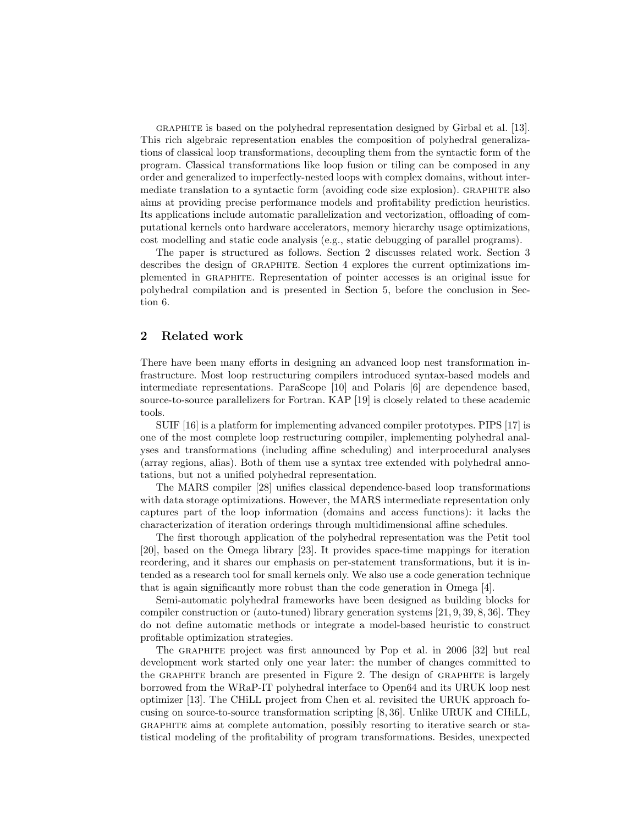graphite is based on the polyhedral representation designed by Girbal et al. [13]. This rich algebraic representation enables the composition of polyhedral generalizations of classical loop transformations, decoupling them from the syntactic form of the program. Classical transformations like loop fusion or tiling can be composed in any order and generalized to imperfectly-nested loops with complex domains, without intermediate translation to a syntactic form (avoiding code size explosion). graphite also aims at providing precise performance models and profitability prediction heuristics. Its applications include automatic parallelization and vectorization, offloading of computational kernels onto hardware accelerators, memory hierarchy usage optimizations, cost modelling and static code analysis (e.g., static debugging of parallel programs).

The paper is structured as follows. Section 2 discusses related work. Section 3 describes the design of graphite. Section 4 explores the current optimizations implemented in graphite. Representation of pointer accesses is an original issue for polyhedral compilation and is presented in Section 5, before the conclusion in Section 6.

# 2 Related work

There have been many efforts in designing an advanced loop nest transformation infrastructure. Most loop restructuring compilers introduced syntax-based models and intermediate representations. ParaScope [10] and Polaris [6] are dependence based, source-to-source parallelizers for Fortran. KAP [19] is closely related to these academic tools.

SUIF [16] is a platform for implementing advanced compiler prototypes. PIPS [17] is one of the most complete loop restructuring compiler, implementing polyhedral analyses and transformations (including affine scheduling) and interprocedural analyses (array regions, alias). Both of them use a syntax tree extended with polyhedral annotations, but not a unified polyhedral representation.

The MARS compiler [28] unifies classical dependence-based loop transformations with data storage optimizations. However, the MARS intermediate representation only captures part of the loop information (domains and access functions): it lacks the characterization of iteration orderings through multidimensional affine schedules.

The first thorough application of the polyhedral representation was the Petit tool [20], based on the Omega library [23]. It provides space-time mappings for iteration reordering, and it shares our emphasis on per-statement transformations, but it is intended as a research tool for small kernels only. We also use a code generation technique that is again significantly more robust than the code generation in Omega [4].

Semi-automatic polyhedral frameworks have been designed as building blocks for compiler construction or (auto-tuned) library generation systems [21, 9, 39, 8, 36]. They do not define automatic methods or integrate a model-based heuristic to construct profitable optimization strategies.

The graphite project was first announced by Pop et al. in 2006 [32] but real development work started only one year later: the number of changes committed to the graphite branch are presented in Figure 2. The design of graphite is largely borrowed from the WRaP-IT polyhedral interface to Open64 and its URUK loop nest optimizer [13]. The CHiLL project from Chen et al. revisited the URUK approach focusing on source-to-source transformation scripting [8, 36]. Unlike URUK and CHiLL, graphite aims at complete automation, possibly resorting to iterative search or statistical modeling of the profitability of program transformations. Besides, unexpected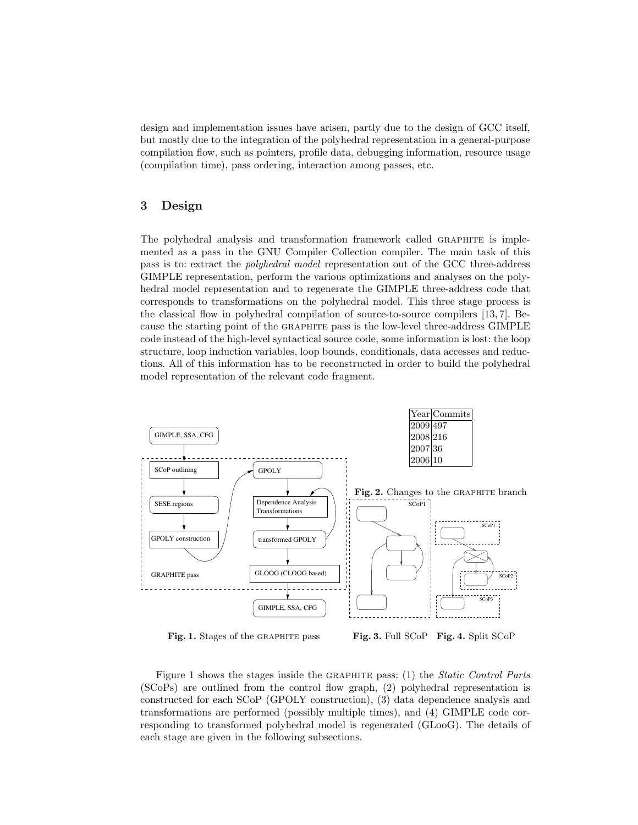design and implementation issues have arisen, partly due to the design of GCC itself, but mostly due to the integration of the polyhedral representation in a general-purpose compilation flow, such as pointers, profile data, debugging information, resource usage (compilation time), pass ordering, interaction among passes, etc.

# 3 Design

The polyhedral analysis and transformation framework called GRAPHITE is implemented as a pass in the GNU Compiler Collection compiler. The main task of this pass is to: extract the polyhedral model representation out of the GCC three-address GIMPLE representation, perform the various optimizations and analyses on the polyhedral model representation and to regenerate the GIMPLE three-address code that corresponds to transformations on the polyhedral model. This three stage process is the classical flow in polyhedral compilation of source-to-source compilers [13, 7]. Because the starting point of the graphite pass is the low-level three-address GIMPLE code instead of the high-level syntactical source code, some information is lost: the loop structure, loop induction variables, loop bounds, conditionals, data accesses and reductions. All of this information has to be reconstructed in order to build the polyhedral model representation of the relevant code fragment.



Figure 1 shows the stages inside the graphite pass: (1) the Static Control Parts (SCoPs) are outlined from the control flow graph, (2) polyhedral representation is constructed for each SCoP (GPOLY construction), (3) data dependence analysis and transformations are performed (possibly multiple times), and (4) GIMPLE code corresponding to transformed polyhedral model is regenerated (GLooG). The details of each stage are given in the following subsections.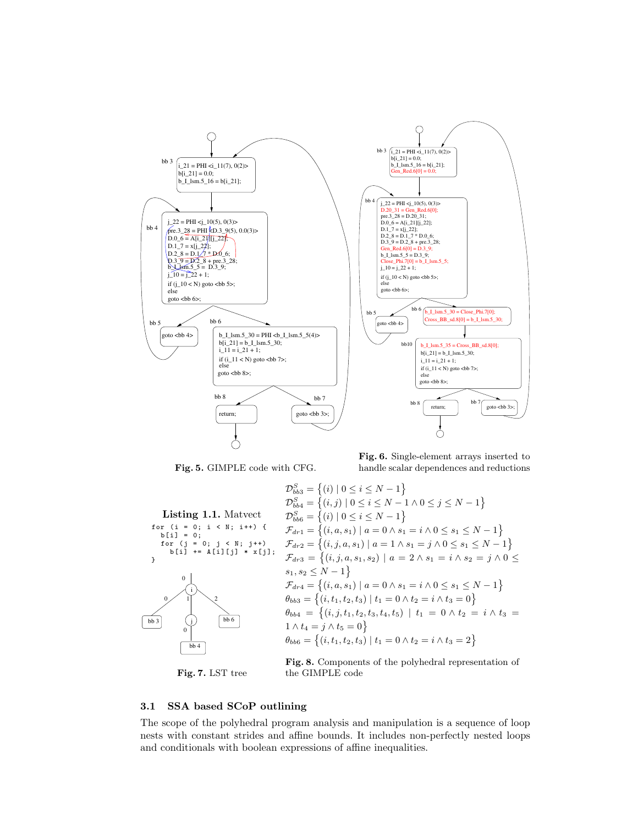

Fig. 5. GIMPLE code with CFG.

Fig. 6. Single-element arrays inserted to handle scalar dependences and reductions

Listing 1.1. Matvect for (i = 0; i < N; i++) {  $b[i] = 0;$ for (j = 0; j < N; j ++) b[i ] += A [i ][ j ] \* x[ j ]; } j i  $\boxed{bb3}$   $\boxed{j}$   $\boxed{bb6}$ bb 4 0  $0 \times 1$   $\sqrt{2}$ 0  $\mathcal{D}_{bb3}^S = \{(i) | 0 \leq i \leq N-1\}$  $\mathcal{D}_{bb4}^S = \{ (i, j) \mid 0 \le i \le N - 1 \land 0 \le j \le N - 1 \}$  $\mathcal{D}_{bb6}^{S} = \{(i) | 0 \leq i \leq N-1\}$  $\mathcal{F}_{dr1} = \{(i, a, s_1) \mid a = 0 \land s_1 = i \land 0 \leq s_1 \leq N - 1\}$  $\mathcal{F}_{dr2} = \{(i, j, a, s_1) \mid a = 1 \land s_1 = j \land 0 \leq s_1 \leq N - 1\}$  $\mathcal{F}_{dr3} = \{(i,j,a,s_1,s_2) \mid a = 2 \land s_1 = i \land s_2 = j \land 0 \leq$  $s_1, s_2 \leq N-1$  $\mathcal{F}_{dr4} = \{(i, a, s_1) \mid a = 0 \land s_1 = i \land 0 \leq s_1 \leq N - 1\}$  $\theta_{bb3} = \{(i, t_1, t_2, t_3) \mid t_1 = 0 \land t_2 = i \land t_3 = 0\}$  $\theta_{bb4} \ = \ \big\{ (i,j,t_1,t_2,t_3,t_4,t_5) \ \mid \ t_1 \ = \ 0 \ \land \ t_2 \ = \ i \ \land \ t_3 \ =$  $1 \wedge t_4 = j \wedge t_5 = 0$  $\theta_{bb6} = \{(i, t_1, t_2, t_3) \mid t_1 = 0 \land t_2 = i \land t_3 = 2\}$ Fig. 8. Components of the polyhedral representation of

Fig. 7. LST tree

the GIMPLE code

### 3.1 SSA based SCoP outlining

The scope of the polyhedral program analysis and manipulation is a sequence of loop nests with constant strides and affine bounds. It includes non-perfectly nested loops and conditionals with boolean expressions of affine inequalities.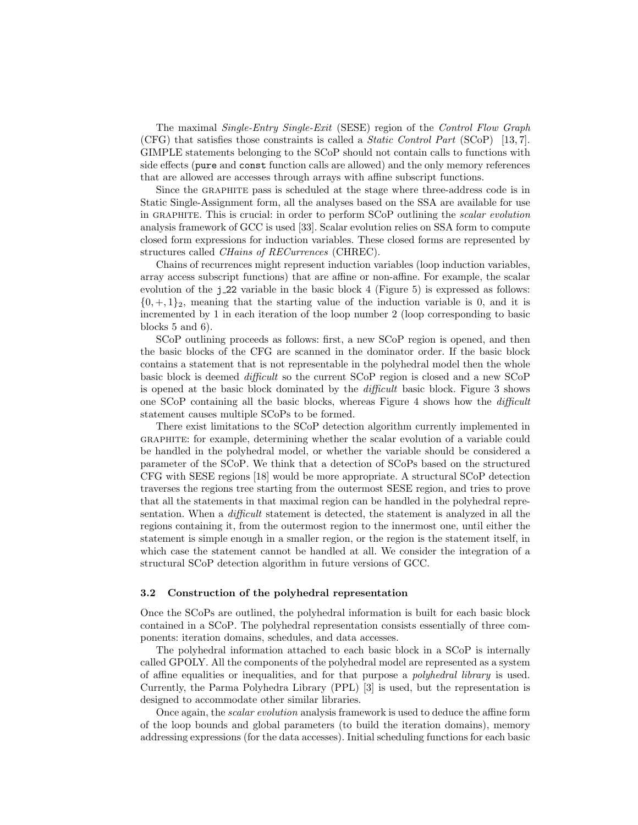The maximal Single-Entry Single-Exit (SESE) region of the Control Flow Graph (CFG) that satisfies those constraints is called a Static Control Part (SCoP) [13, 7]. GIMPLE statements belonging to the SCoP should not contain calls to functions with side effects (pure and const function calls are allowed) and the only memory references that are allowed are accesses through arrays with affine subscript functions.

Since the graphite pass is scheduled at the stage where three-address code is in Static Single-Assignment form, all the analyses based on the SSA are available for use in GRAPHITE. This is crucial: in order to perform SCoP outlining the *scalar evolution* analysis framework of GCC is used [33]. Scalar evolution relies on SSA form to compute closed form expressions for induction variables. These closed forms are represented by structures called CHains of RECurrences (CHREC).

Chains of recurrences might represent induction variables (loop induction variables, array access subscript functions) that are affine or non-affine. For example, the scalar evolution of the  $j$ -22 variable in the basic block 4 (Figure 5) is expressed as follows:  $\{0, +, 1\}_2$ , meaning that the starting value of the induction variable is 0, and it is incremented by 1 in each iteration of the loop number 2 (loop corresponding to basic blocks 5 and 6).

SCoP outlining proceeds as follows: first, a new SCoP region is opened, and then the basic blocks of the CFG are scanned in the dominator order. If the basic block contains a statement that is not representable in the polyhedral model then the whole basic block is deemed difficult so the current SCoP region is closed and a new SCoP is opened at the basic block dominated by the difficult basic block. Figure 3 shows one SCoP containing all the basic blocks, whereas Figure 4 shows how the difficult statement causes multiple SCoPs to be formed.

There exist limitations to the SCoP detection algorithm currently implemented in graphite: for example, determining whether the scalar evolution of a variable could be handled in the polyhedral model, or whether the variable should be considered a parameter of the SCoP. We think that a detection of SCoPs based on the structured CFG with SESE regions [18] would be more appropriate. A structural SCoP detection traverses the regions tree starting from the outermost SESE region, and tries to prove that all the statements in that maximal region can be handled in the polyhedral representation. When a *difficult* statement is detected, the statement is analyzed in all the regions containing it, from the outermost region to the innermost one, until either the statement is simple enough in a smaller region, or the region is the statement itself, in which case the statement cannot be handled at all. We consider the integration of a structural SCoP detection algorithm in future versions of GCC.

#### 3.2 Construction of the polyhedral representation

Once the SCoPs are outlined, the polyhedral information is built for each basic block contained in a SCoP. The polyhedral representation consists essentially of three components: iteration domains, schedules, and data accesses.

The polyhedral information attached to each basic block in a SCoP is internally called GPOLY. All the components of the polyhedral model are represented as a system of affine equalities or inequalities, and for that purpose a polyhedral library is used. Currently, the Parma Polyhedra Library (PPL) [3] is used, but the representation is designed to accommodate other similar libraries.

Once again, the scalar evolution analysis framework is used to deduce the affine form of the loop bounds and global parameters (to build the iteration domains), memory addressing expressions (for the data accesses). Initial scheduling functions for each basic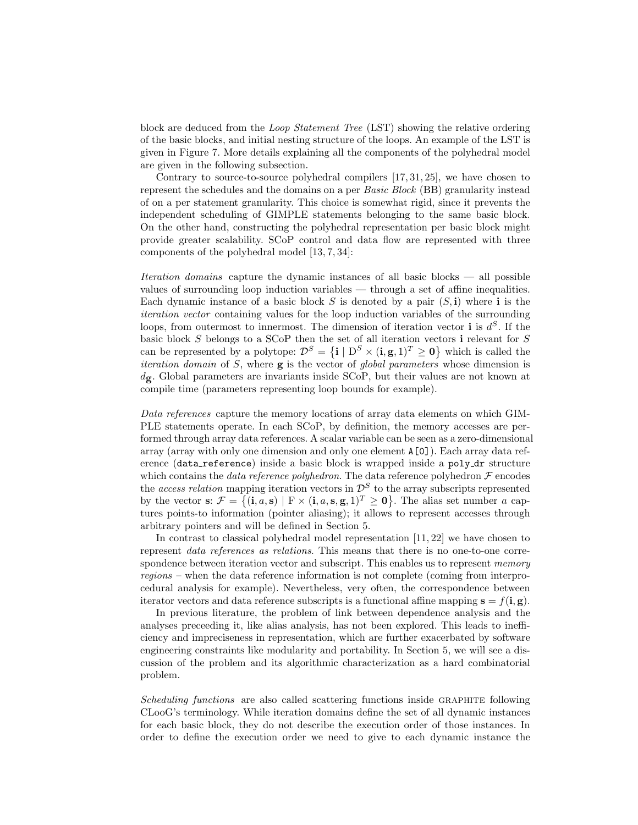block are deduced from the Loop Statement Tree (LST) showing the relative ordering of the basic blocks, and initial nesting structure of the loops. An example of the LST is given in Figure 7. More details explaining all the components of the polyhedral model are given in the following subsection.

Contrary to source-to-source polyhedral compilers [17, 31, 25], we have chosen to represent the schedules and the domains on a per Basic Block (BB) granularity instead of on a per statement granularity. This choice is somewhat rigid, since it prevents the independent scheduling of GIMPLE statements belonging to the same basic block. On the other hand, constructing the polyhedral representation per basic block might provide greater scalability. SCoP control and data flow are represented with three components of the polyhedral model [13, 7, 34]:

Iteration domains capture the dynamic instances of all basic blocks — all possible values of surrounding loop induction variables — through a set of affine inequalities. Each dynamic instance of a basic block S is denoted by a pair  $(S, i)$  where i is the iteration vector containing values for the loop induction variables of the surrounding loops, from outermost to innermost. The dimension of iteration vector **i** is  $d^S$ . If the basic block S belongs to a SCoP then the set of all iteration vectors i relevant for S can be represented by a polytope:  $\mathcal{D}^S = \{ \mathbf{i} \mid D^S \times (\mathbf{i}, \mathbf{g}, 1)^T \geq \mathbf{0} \}$  which is called the iteration domain of S, where g is the vector of global parameters whose dimension is  $d_{\mathbf{g}}$ . Global parameters are invariants inside SCoP, but their values are not known at compile time (parameters representing loop bounds for example).

Data references capture the memory locations of array data elements on which GIM-PLE statements operate. In each SCoP, by definition, the memory accesses are performed through array data references. A scalar variable can be seen as a zero-dimensional array (array with only one dimension and only one element A[0]). Each array data reference (data\_reference) inside a basic block is wrapped inside a poly\_dr structure which contains the *data reference polyhedron*. The data reference polyhedron  $\mathcal F$  encodes the *access relation* mapping iteration vectors in  $\mathcal{D}^S$  to the array subscripts represented by the vector s:  $\mathcal{F} = \{(\mathbf{i}, a, \mathbf{s}) \mid \mathbf{F} \times (\mathbf{i}, a, \mathbf{s}, \mathbf{g}, 1)^T \geq \mathbf{0}\}\.$  The alias set number a captures points-to information (pointer aliasing); it allows to represent accesses through arbitrary pointers and will be defined in Section 5.

In contrast to classical polyhedral model representation [11, 22] we have chosen to represent data references as relations. This means that there is no one-to-one correspondence between iteration vector and subscript. This enables us to represent *memory* regions – when the data reference information is not complete (coming from interprocedural analysis for example). Nevertheless, very often, the correspondence between iterator vectors and data reference subscripts is a functional affine mapping  $\mathbf{s} = f(\mathbf{i}, \mathbf{g})$ .

In previous literature, the problem of link between dependence analysis and the analyses preceeding it, like alias analysis, has not been explored. This leads to inefficiency and impreciseness in representation, which are further exacerbated by software engineering constraints like modularity and portability. In Section 5, we will see a discussion of the problem and its algorithmic characterization as a hard combinatorial problem.

Scheduling functions are also called scattering functions inside GRAPHITE following CLooG's terminology. While iteration domains define the set of all dynamic instances for each basic block, they do not describe the execution order of those instances. In order to define the execution order we need to give to each dynamic instance the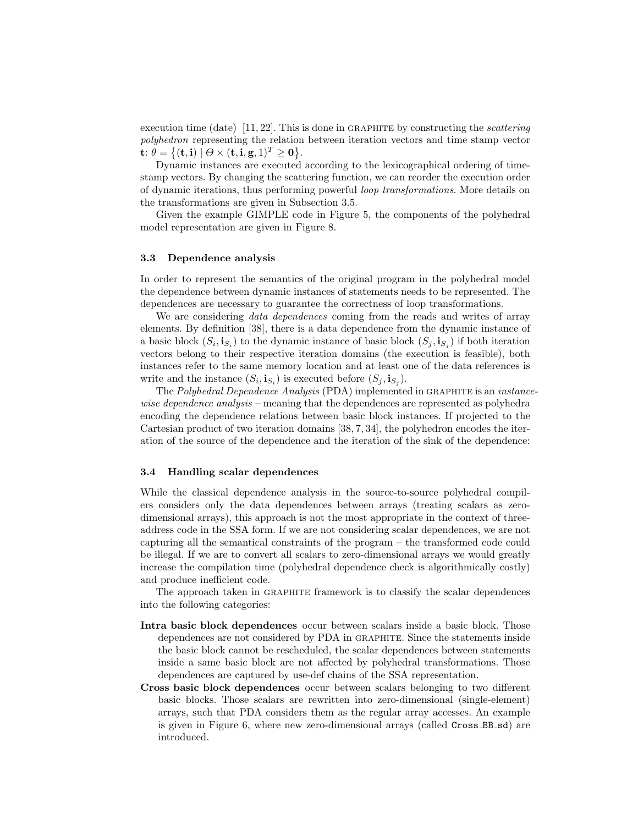execution time (date)  $[11, 22]$ . This is done in GRAPHITE by constructing the *scattering* polyhedron representing the relation between iteration vectors and time stamp vector  $\mathbf{t}$ :  $\theta = \{(\mathbf{t}, \mathbf{i}) \mid \Theta \times (\mathbf{t}, \mathbf{i}, \mathbf{g}, 1)^T \geq \mathbf{0}\}.$ 

Dynamic instances are executed according to the lexicographical ordering of timestamp vectors. By changing the scattering function, we can reorder the execution order of dynamic iterations, thus performing powerful loop transformations. More details on the transformations are given in Subsection 3.5.

Given the example GIMPLE code in Figure 5, the components of the polyhedral model representation are given in Figure 8.

#### 3.3 Dependence analysis

In order to represent the semantics of the original program in the polyhedral model the dependence between dynamic instances of statements needs to be represented. The dependences are necessary to guarantee the correctness of loop transformations.

We are considering *data dependences* coming from the reads and writes of array elements. By definition [38], there is a data dependence from the dynamic instance of a basic block  $(S_i, i_{S_i})$  to the dynamic instance of basic block  $(S_j, i_{S_j})$  if both iteration vectors belong to their respective iteration domains (the execution is feasible), both instances refer to the same memory location and at least one of the data references is write and the instance  $(S_i, i_{S_i})$  is executed before  $(S_j, i_{S_j})$ .

The Polyhedral Dependence Analysis (PDA) implemented in GRAPHITE is an *instance*wise dependence analysis – meaning that the dependences are represented as polyhedra encoding the dependence relations between basic block instances. If projected to the Cartesian product of two iteration domains [38, 7, 34], the polyhedron encodes the iteration of the source of the dependence and the iteration of the sink of the dependence:

#### 3.4 Handling scalar dependences

While the classical dependence analysis in the source-to-source polyhedral compilers considers only the data dependences between arrays (treating scalars as zerodimensional arrays), this approach is not the most appropriate in the context of threeaddress code in the SSA form. If we are not considering scalar dependences, we are not capturing all the semantical constraints of the program – the transformed code could be illegal. If we are to convert all scalars to zero-dimensional arrays we would greatly increase the compilation time (polyhedral dependence check is algorithmically costly) and produce inefficient code.

The approach taken in GRAPHITE framework is to classify the scalar dependences into the following categories:

- Intra basic block dependences occur between scalars inside a basic block. Those dependences are not considered by PDA in graphite. Since the statements inside the basic block cannot be rescheduled, the scalar dependences between statements inside a same basic block are not affected by polyhedral transformations. Those dependences are captured by use-def chains of the SSA representation.
- Cross basic block dependences occur between scalars belonging to two different basic blocks. Those scalars are rewritten into zero-dimensional (single-element) arrays, such that PDA considers them as the regular array accesses. An example is given in Figure 6, where new zero-dimensional arrays (called Cross\_BB\_sd) are introduced.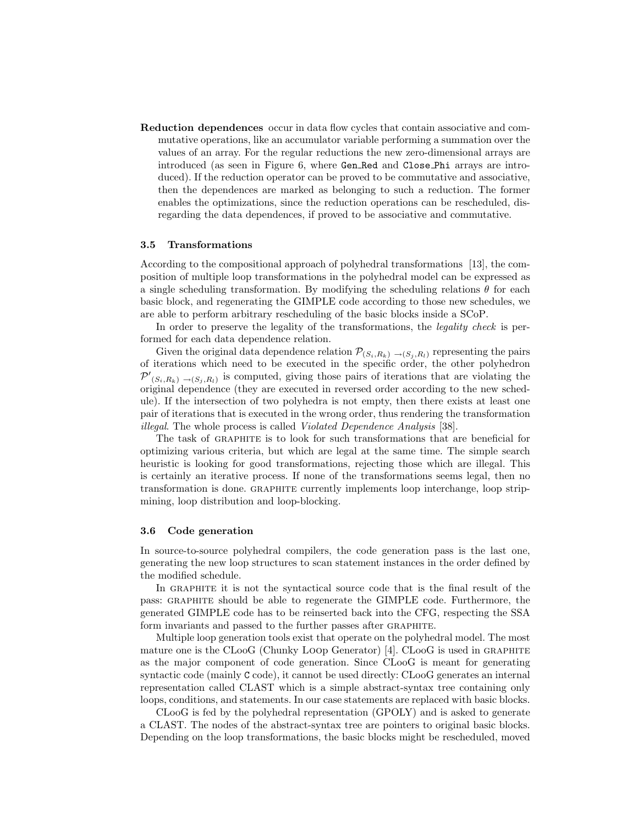Reduction dependences occur in data flow cycles that contain associative and commutative operations, like an accumulator variable performing a summation over the values of an array. For the regular reductions the new zero-dimensional arrays are introduced (as seen in Figure 6, where Gen Red and Close Phi arrays are introduced). If the reduction operator can be proved to be commutative and associative, then the dependences are marked as belonging to such a reduction. The former enables the optimizations, since the reduction operations can be rescheduled, disregarding the data dependences, if proved to be associative and commutative.

#### 3.5 Transformations

According to the compositional approach of polyhedral transformations [13], the composition of multiple loop transformations in the polyhedral model can be expressed as a single scheduling transformation. By modifying the scheduling relations  $\theta$  for each basic block, and regenerating the GIMPLE code according to those new schedules, we are able to perform arbitrary rescheduling of the basic blocks inside a SCoP.

In order to preserve the legality of the transformations, the *legality check* is performed for each data dependence relation.

Given the original data dependence relation  $\mathcal{P}_{(S_i,R_k) \to (S_j,R_l)}$  representing the pairs of iterations which need to be executed in the specific order, the other polyhedron  $\mathcal{P}'_{(S_i,R_k) \to (S_j,R_l)}$  is computed, giving those pairs of iterations that are violating the original dependence (they are executed in reversed order according to the new schedule). If the intersection of two polyhedra is not empty, then there exists at least one pair of iterations that is executed in the wrong order, thus rendering the transformation illegal. The whole process is called Violated Dependence Analysis [38].

The task of GRAPHITE is to look for such transformations that are beneficial for optimizing various criteria, but which are legal at the same time. The simple search heuristic is looking for good transformations, rejecting those which are illegal. This is certainly an iterative process. If none of the transformations seems legal, then no transformation is done. graphite currently implements loop interchange, loop stripmining, loop distribution and loop-blocking.

#### 3.6 Code generation

In source-to-source polyhedral compilers, the code generation pass is the last one, generating the new loop structures to scan statement instances in the order defined by the modified schedule.

In GRAPHITE it is not the syntactical source code that is the final result of the pass: graphite should be able to regenerate the GIMPLE code. Furthermore, the generated GIMPLE code has to be reinserted back into the CFG, respecting the SSA form invariants and passed to the further passes after GRAPHITE.

Multiple loop generation tools exist that operate on the polyhedral model. The most mature one is the CLooG (Chunky Loop Generator) [4]. CLooG is used in GRAPHITE as the major component of code generation. Since CLooG is meant for generating syntactic code (mainly C code), it cannot be used directly: CLooG generates an internal representation called CLAST which is a simple abstract-syntax tree containing only loops, conditions, and statements. In our case statements are replaced with basic blocks.

CLooG is fed by the polyhedral representation (GPOLY) and is asked to generate a CLAST. The nodes of the abstract-syntax tree are pointers to original basic blocks. Depending on the loop transformations, the basic blocks might be rescheduled, moved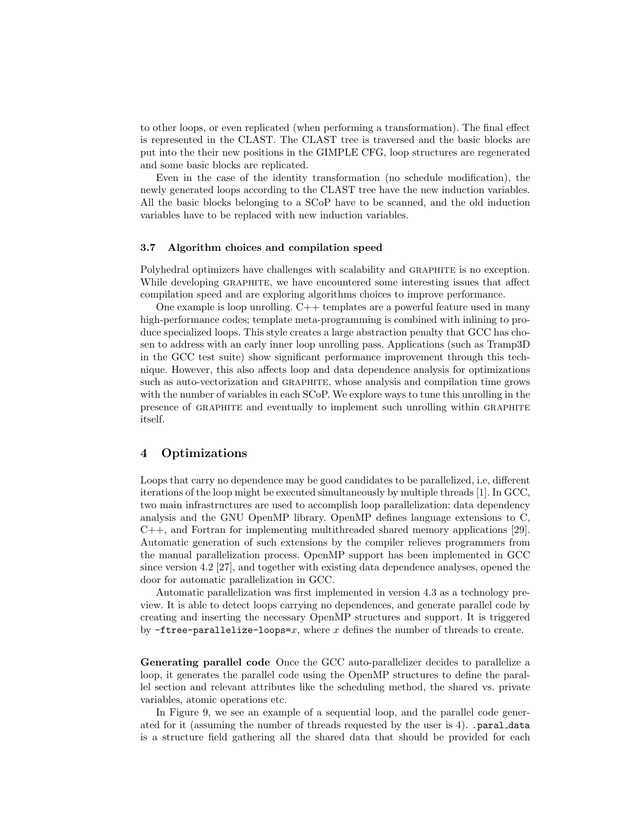to other loops, or even replicated (when performing a transformation). The final effect is represented in the CLAST. The CLAST tree is traversed and the basic blocks are put into the their new positions in the GIMPLE CFG, loop structures are regenerated and some basic blocks are replicated.

Even in the case of the identity transformation (no schedule modification), the newly generated loops according to the CLAST tree have the new induction variables. All the basic blocks belonging to a SCoP have to be scanned, and the old induction variables have to be replaced with new induction variables.

#### 3.7 Algorithm choices and compilation speed

Polyhedral optimizers have challenges with scalability and GRAPHITE is no exception. While developing GRAPHITE, we have encountered some interesting issues that affect compilation speed and are exploring algorithms choices to improve performance.

One example is loop unrolling. C++ templates are a powerful feature used in many high-performance codes; template meta-programming is combined with inlining to produce specialized loops. This style creates a large abstraction penalty that GCC has chosen to address with an early inner loop unrolling pass. Applications (such as Tramp3D in the GCC test suite) show significant performance improvement through this technique. However, this also affects loop and data dependence analysis for optimizations such as auto-vectorization and graphite, whose analysis and compilation time grows with the number of variables in each SCoP. We explore ways to tune this unrolling in the presence of GRAPHITE and eventually to implement such unrolling within GRAPHITE itself.

# 4 Optimizations

Loops that carry no dependence may be good candidates to be parallelized, i.e, different iterations of the loop might be executed simultaneously by multiple threads [1]. In GCC, two main infrastructures are used to accomplish loop parallelization: data dependency analysis and the GNU OpenMP library. OpenMP defines language extensions to C,  $C_{++}$ , and Fortran for implementing multithreaded shared memory applications [29]. Automatic generation of such extensions by the compiler relieves programmers from the manual parallelization process. OpenMP support has been implemented in GCC since version 4.2 [27], and together with existing data dependence analyses, opened the door for automatic parallelization in GCC.

Automatic parallelization was first implemented in version 4.3 as a technology preview. It is able to detect loops carrying no dependences, and generate parallel code by creating and inserting the necessary OpenMP structures and support. It is triggered by  $-\mathbf{free}\text{-}parallelize\text{-}loops=x$ , where x defines the number of threads to create.

Generating parallel code Once the GCC auto-parallelizer decides to parallelize a loop, it generates the parallel code using the OpenMP structures to define the parallel section and relevant attributes like the scheduling method, the shared vs. private variables, atomic operations etc.

In Figure 9, we see an example of a sequential loop, and the parallel code generated for it (assuming the number of threads requested by the user is 4). .paral data is a structure field gathering all the shared data that should be provided for each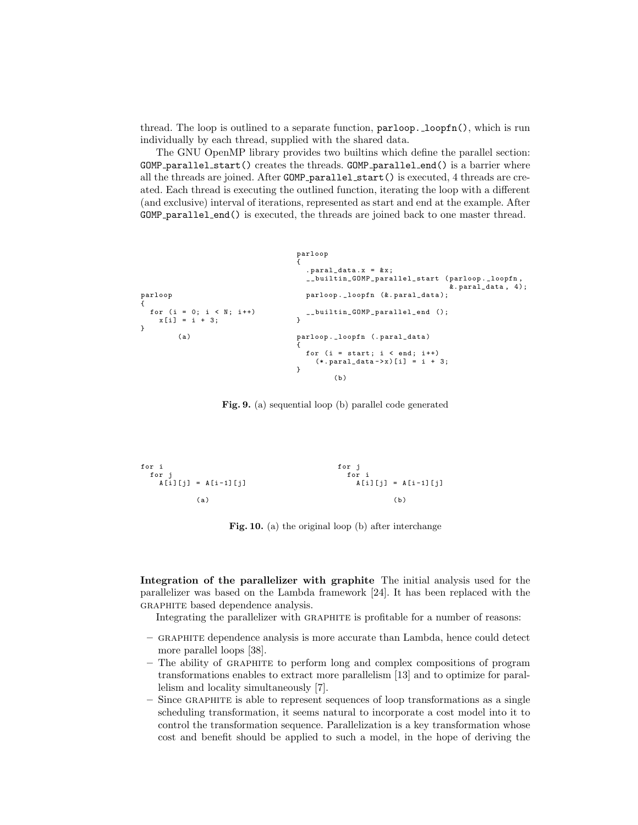thread. The loop is outlined to a separate function, parloop. loopfn(), which is run individually by each thread, supplied with the shared data.

The GNU OpenMP library provides two builtins which define the parallel section: GOMP\_parallel\_start() creates the threads. GOMP\_parallel\_end() is a barrier where all the threads are joined. After GOMP parallel start() is executed, 4 threads are created. Each thread is executing the outlined function, iterating the loop with a different (and exclusive) interval of iterations, represented as start and end at the example. After GOMP parallel end() is executed, the threads are joined back to one master thread.

```
parloop
{
 for (i = 0; i < N; i++)x[i] = i + 3;}
         (a)parloop
{
                                         . paral_data.x = kx;
                                         __builtin_GOMP_parallel_start ( parloop . _loopfn ,
                                                                             &. paral_data , 4);
                                        parloop . _loopfn (&. paral_data );
                                         __builtin_GOMP_parallel_end ();
                                      }
                                      parloop . _loopfn (. paral_data )
                                       {
                                         for (i = start; i < end; i++)(*. <b>parallel\_data -&gt; x</b>) [i] = i + 3;
                                       }
                                                (h)
```
Fig. 9. (a) sequential loop (b) parallel code generated

$$
\begin{array}{ll}\nfor i & for j \\
for j & for i \\
A[i][j] = A[i-1][j] & & A[i][j] = A[i-1][j] \\
(a) & (b) & & \n\end{array}
$$

Fig. 10. (a) the original loop (b) after interchange

Integration of the parallelizer with graphite The initial analysis used for the parallelizer was based on the Lambda framework [24]. It has been replaced with the GRAPHITE based dependence analysis.

Integrating the parallelizer with graphite is profitable for a number of reasons:

- graphite dependence analysis is more accurate than Lambda, hence could detect more parallel loops [38].
- The ability of graphite to perform long and complex compositions of program transformations enables to extract more parallelism [13] and to optimize for parallelism and locality simultaneously [7].
- Since graphite is able to represent sequences of loop transformations as a single scheduling transformation, it seems natural to incorporate a cost model into it to control the transformation sequence. Parallelization is a key transformation whose cost and benefit should be applied to such a model, in the hope of deriving the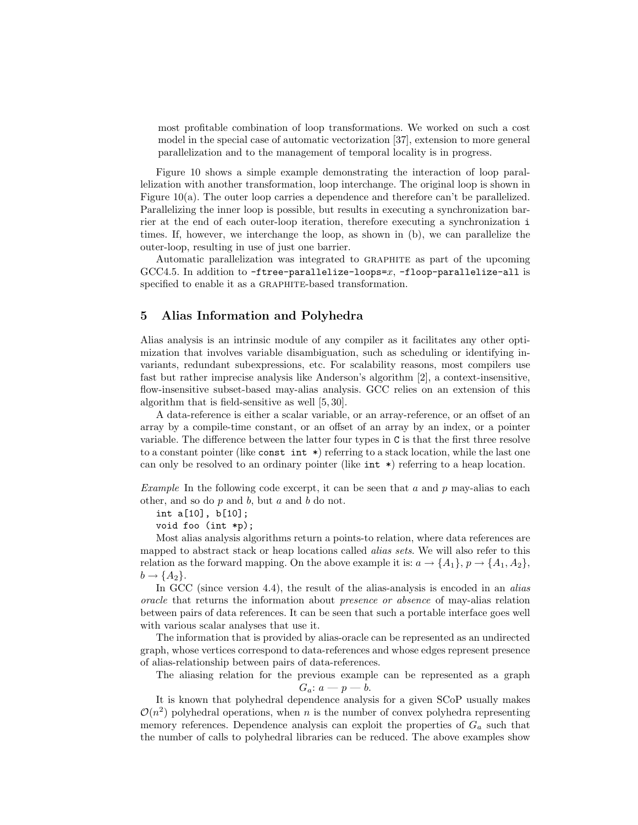most profitable combination of loop transformations. We worked on such a cost model in the special case of automatic vectorization [37], extension to more general parallelization and to the management of temporal locality is in progress.

Figure 10 shows a simple example demonstrating the interaction of loop parallelization with another transformation, loop interchange. The original loop is shown in Figure 10(a). The outer loop carries a dependence and therefore can't be parallelized. Parallelizing the inner loop is possible, but results in executing a synchronization barrier at the end of each outer-loop iteration, therefore executing a synchronization i times. If, however, we interchange the loop, as shown in (b), we can parallelize the outer-loop, resulting in use of just one barrier.

Automatic parallelization was integrated to graphite as part of the upcoming  $GCC4.5$ . In addition to  $-free-parallelize-loops=x$ ,  $-floop-parallelize-al$  is specified to enable it as a GRAPHITE-based transformation.

# 5 Alias Information and Polyhedra

Alias analysis is an intrinsic module of any compiler as it facilitates any other optimization that involves variable disambiguation, such as scheduling or identifying invariants, redundant subexpressions, etc. For scalability reasons, most compilers use fast but rather imprecise analysis like Anderson's algorithm [2], a context-insensitive, flow-insensitive subset-based may-alias analysis. GCC relies on an extension of this algorithm that is field-sensitive as well [5, 30].

A data-reference is either a scalar variable, or an array-reference, or an offset of an array by a compile-time constant, or an offset of an array by an index, or a pointer variable. The difference between the latter four types in C is that the first three resolve to a constant pointer (like const int  $\ast$ ) referring to a stack location, while the last one can only be resolved to an ordinary pointer (like  $int *$ ) referring to a heap location.

Example In the following code excerpt, it can be seen that a and p may-alias to each other, and so do  $p$  and  $b$ , but  $a$  and  $b$  do not.

int a[10], b[10];

void foo (int \*p);

Most alias analysis algorithms return a points-to relation, where data references are mapped to abstract stack or heap locations called alias sets. We will also refer to this relation as the forward mapping. On the above example it is:  $a \rightarrow \{A_1\}, p \rightarrow \{A_1, A_2\}$ ,  $b \rightarrow \{A_2\}.$ 

In GCC (since version 4.4), the result of the alias-analysis is encoded in an alias oracle that returns the information about presence or absence of may-alias relation between pairs of data references. It can be seen that such a portable interface goes well with various scalar analyses that use it.

The information that is provided by alias-oracle can be represented as an undirected graph, whose vertices correspond to data-references and whose edges represent presence of alias-relationship between pairs of data-references.

The aliasing relation for the previous example can be represented as a graph  $G_a: a-p-b.$ 

It is known that polyhedral dependence analysis for a given SCoP usually makes  $\mathcal{O}(n^2)$  polyhedral operations, when n is the number of convex polyhedra representing memory references. Dependence analysis can exploit the properties of  $G_a$  such that the number of calls to polyhedral libraries can be reduced. The above examples show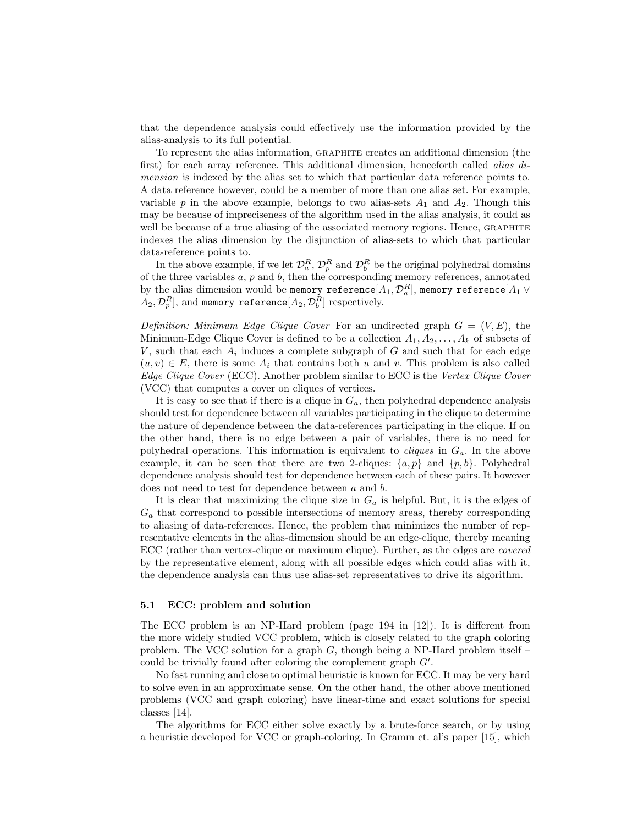that the dependence analysis could effectively use the information provided by the alias-analysis to its full potential.

To represent the alias information, graphite creates an additional dimension (the first) for each array reference. This additional dimension, henceforth called *alias di*mension is indexed by the alias set to which that particular data reference points to. A data reference however, could be a member of more than one alias set. For example, variable p in the above example, belongs to two alias-sets  $A_1$  and  $A_2$ . Though this may be because of impreciseness of the algorithm used in the alias analysis, it could as well be because of a true aliasing of the associated memory regions. Hence, GRAPHITE indexes the alias dimension by the disjunction of alias-sets to which that particular data-reference points to.

In the above example, if we let  $\mathcal{D}_a^R$ ,  $\mathcal{D}_p^R$  and  $\mathcal{D}_b^R$  be the original polyhedral domains of the three variables  $a, p$  and  $b$ , then the corresponding memory references, annotated by the alias dimension would be memory\_reference $[A_1, \mathcal{D}^R_a]$ , memory\_reference $[A_1\vee$  $(A_2,\mathcal{D}^R_p],$  and memory\_reference $[A_2,\mathcal{D}_b^R]$  respectively.

Definition: Minimum Edge Clique Cover For an undirected graph  $G = (V, E)$ , the Minimum-Edge Clique Cover is defined to be a collection  $A_1, A_2, \ldots, A_k$  of subsets of V, such that each  $A_i$  induces a complete subgraph of G and such that for each edge  $(u, v) \in E$ , there is some  $A_i$  that contains both u and v. This problem is also called Edge Clique Cover (ECC). Another problem similar to ECC is the Vertex Clique Cover (VCC) that computes a cover on cliques of vertices.

It is easy to see that if there is a clique in  $G_a$ , then polyhedral dependence analysis should test for dependence between all variables participating in the clique to determine the nature of dependence between the data-references participating in the clique. If on the other hand, there is no edge between a pair of variables, there is no need for polyhedral operations. This information is equivalent to *cliques* in  $G_a$ . In the above example, it can be seen that there are two 2-cliques:  $\{a, p\}$  and  $\{p, b\}$ . Polyhedral dependence analysis should test for dependence between each of these pairs. It however does not need to test for dependence between a and b.

It is clear that maximizing the clique size in  $G_a$  is helpful. But, it is the edges of  $G_a$  that correspond to possible intersections of memory areas, thereby corresponding to aliasing of data-references. Hence, the problem that minimizes the number of representative elements in the alias-dimension should be an edge-clique, thereby meaning ECC (rather than vertex-clique or maximum clique). Further, as the edges are covered by the representative element, along with all possible edges which could alias with it, the dependence analysis can thus use alias-set representatives to drive its algorithm.

#### 5.1 ECC: problem and solution

The ECC problem is an NP-Hard problem (page 194 in [12]). It is different from the more widely studied VCC problem, which is closely related to the graph coloring problem. The VCC solution for a graph  $G$ , though being a NP-Hard problem itself – could be trivially found after coloring the complement graph  $G'$ .

No fast running and close to optimal heuristic is known for ECC. It may be very hard to solve even in an approximate sense. On the other hand, the other above mentioned problems (VCC and graph coloring) have linear-time and exact solutions for special classes [14].

The algorithms for ECC either solve exactly by a brute-force search, or by using a heuristic developed for VCC or graph-coloring. In Gramm et. al's paper [15], which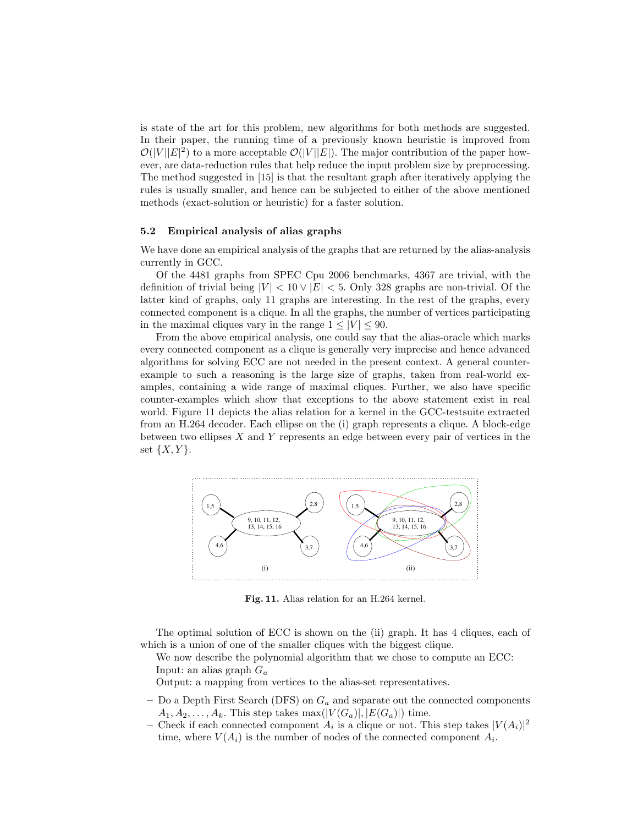is state of the art for this problem, new algorithms for both methods are suggested. In their paper, the running time of a previously known heuristic is improved from  $\mathcal{O}(|V||E|^2)$  to a more acceptable  $\mathcal{O}(|V||E|)$ . The major contribution of the paper however, are data-reduction rules that help reduce the input problem size by preprocessing. The method suggested in [15] is that the resultant graph after iteratively applying the rules is usually smaller, and hence can be subjected to either of the above mentioned methods (exact-solution or heuristic) for a faster solution.

#### 5.2 Empirical analysis of alias graphs

We have done an empirical analysis of the graphs that are returned by the alias-analysis currently in GCC.

Of the 4481 graphs from SPEC Cpu 2006 benchmarks, 4367 are trivial, with the definition of trivial being  $|V| < 10 \vee |E| < 5$ . Only 328 graphs are non-trivial. Of the latter kind of graphs, only 11 graphs are interesting. In the rest of the graphs, every connected component is a clique. In all the graphs, the number of vertices participating in the maximal cliques vary in the range  $1 \leq |V| \leq 90$ .

From the above empirical analysis, one could say that the alias-oracle which marks every connected component as a clique is generally very imprecise and hence advanced algorithms for solving ECC are not needed in the present context. A general counterexample to such a reasoning is the large size of graphs, taken from real-world examples, containing a wide range of maximal cliques. Further, we also have specific counter-examples which show that exceptions to the above statement exist in real world. Figure 11 depicts the alias relation for a kernel in the GCC-testsuite extracted from an H.264 decoder. Each ellipse on the (i) graph represents a clique. A block-edge between two ellipses  $X$  and  $Y$  represents an edge between every pair of vertices in the set  $\{X, Y\}.$ 



Fig. 11. Alias relation for an H.264 kernel.

The optimal solution of ECC is shown on the (ii) graph. It has 4 cliques, each of which is a union of one of the smaller cliques with the biggest clique.

We now describe the polynomial algorithm that we chose to compute an ECC: Input: an alias graph  $G_a$ 

Output: a mapping from vertices to the alias-set representatives.

- Do a Depth First Search (DFS) on  $G_a$  and separate out the connected components  $A_1, A_2, \ldots, A_k$ . This step takes max( $|V(G_a)|, |E(G_a)|$ ) time.
- Check if each connected component  $A_i$  is a clique or not. This step takes  $|V(A_i)|^2$ time, where  $V(A_i)$  is the number of nodes of the connected component  $A_i$ .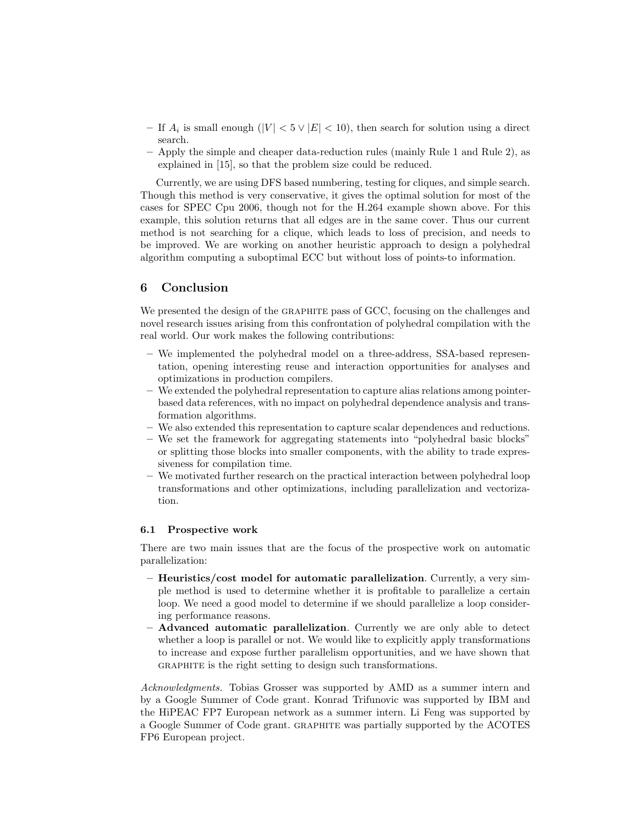- If  $A_i$  is small enough  $(|V| < 5 \vee |E| < 10$ , then search for solution using a direct search.
- Apply the simple and cheaper data-reduction rules (mainly Rule 1 and Rule 2), as explained in [15], so that the problem size could be reduced.

Currently, we are using DFS based numbering, testing for cliques, and simple search. Though this method is very conservative, it gives the optimal solution for most of the cases for SPEC Cpu 2006, though not for the H.264 example shown above. For this example, this solution returns that all edges are in the same cover. Thus our current method is not searching for a clique, which leads to loss of precision, and needs to be improved. We are working on another heuristic approach to design a polyhedral algorithm computing a suboptimal ECC but without loss of points-to information.

# 6 Conclusion

We presented the design of the GRAPHITE pass of GCC, focusing on the challenges and novel research issues arising from this confrontation of polyhedral compilation with the real world. Our work makes the following contributions:

- We implemented the polyhedral model on a three-address, SSA-based representation, opening interesting reuse and interaction opportunities for analyses and optimizations in production compilers.
- We extended the polyhedral representation to capture alias relations among pointerbased data references, with no impact on polyhedral dependence analysis and transformation algorithms.
- We also extended this representation to capture scalar dependences and reductions.
- We set the framework for aggregating statements into "polyhedral basic blocks" or splitting those blocks into smaller components, with the ability to trade expressiveness for compilation time.
- We motivated further research on the practical interaction between polyhedral loop transformations and other optimizations, including parallelization and vectorization.

#### 6.1 Prospective work

There are two main issues that are the focus of the prospective work on automatic parallelization:

- Heuristics/cost model for automatic parallelization. Currently, a very simple method is used to determine whether it is profitable to parallelize a certain loop. We need a good model to determine if we should parallelize a loop considering performance reasons.
- Advanced automatic parallelization. Currently we are only able to detect whether a loop is parallel or not. We would like to explicitly apply transformations to increase and expose further parallelism opportunities, and we have shown that GRAPHITE is the right setting to design such transformations.

Acknowledgments. Tobias Grosser was supported by AMD as a summer intern and by a Google Summer of Code grant. Konrad Trifunovic was supported by IBM and the HiPEAC FP7 European network as a summer intern. Li Feng was supported by a Google Summer of Code grant. graphite was partially supported by the ACOTES FP6 European project.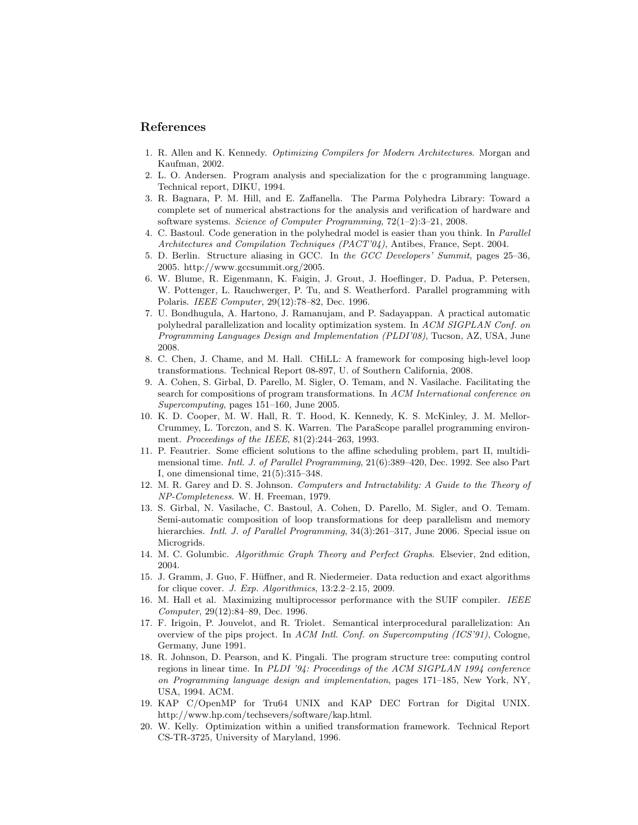### References

- 1. R. Allen and K. Kennedy. *Optimizing Compilers for Modern Architectures*. Morgan and Kaufman, 2002.
- 2. L. O. Andersen. Program analysis and specialization for the c programming language. Technical report, DIKU, 1994.
- 3. R. Bagnara, P. M. Hill, and E. Zaffanella. The Parma Polyhedra Library: Toward a complete set of numerical abstractions for the analysis and verification of hardware and software systems. *Science of Computer Programming*, 72(1–2):3–21, 2008.
- 4. C. Bastoul. Code generation in the polyhedral model is easier than you think. In *Parallel Architectures and Compilation Techniques (PACT'04)*, Antibes, France, Sept. 2004.
- 5. D. Berlin. Structure aliasing in GCC. In *the GCC Developers' Summit*, pages 25–36, 2005. http://www.gccsummit.org/2005.
- 6. W. Blume, R. Eigenmann, K. Faigin, J. Grout, J. Hoeflinger, D. Padua, P. Petersen, W. Pottenger, L. Rauchwerger, P. Tu, and S. Weatherford. Parallel programming with Polaris. *IEEE Computer*, 29(12):78–82, Dec. 1996.
- 7. U. Bondhugula, A. Hartono, J. Ramanujam, and P. Sadayappan. A practical automatic polyhedral parallelization and locality optimization system. In *ACM SIGPLAN Conf. on Programming Languages Design and Implementation (PLDI'08)*, Tucson, AZ, USA, June 2008.
- 8. C. Chen, J. Chame, and M. Hall. CHiLL: A framework for composing high-level loop transformations. Technical Report 08-897, U. of Southern California, 2008.
- 9. A. Cohen, S. Girbal, D. Parello, M. Sigler, O. Temam, and N. Vasilache. Facilitating the search for compositions of program transformations. In *ACM International conference on Supercomputing*, pages 151–160, June 2005.
- 10. K. D. Cooper, M. W. Hall, R. T. Hood, K. Kennedy, K. S. McKinley, J. M. Mellor-Crummey, L. Torczon, and S. K. Warren. The ParaScope parallel programming environment. *Proceedings of the IEEE*, 81(2):244–263, 1993.
- 11. P. Feautrier. Some efficient solutions to the affine scheduling problem, part II, multidimensional time. *Intl. J. of Parallel Programming*, 21(6):389–420, Dec. 1992. See also Part I, one dimensional time, 21(5):315–348.
- 12. M. R. Garey and D. S. Johnson. *Computers and Intractability: A Guide to the Theory of NP-Completeness*. W. H. Freeman, 1979.
- 13. S. Girbal, N. Vasilache, C. Bastoul, A. Cohen, D. Parello, M. Sigler, and O. Temam. Semi-automatic composition of loop transformations for deep parallelism and memory hierarchies. *Intl. J. of Parallel Programming*, 34(3):261–317, June 2006. Special issue on Microgrids.
- 14. M. C. Golumbic. *Algorithmic Graph Theory and Perfect Graphs*. Elsevier, 2nd edition, 2004.
- 15. J. Gramm, J. Guo, F. Hüffner, and R. Niedermeier. Data reduction and exact algorithms for clique cover. *J. Exp. Algorithmics*, 13:2.2–2.15, 2009.
- 16. M. Hall et al. Maximizing multiprocessor performance with the SUIF compiler. *IEEE Computer*, 29(12):84–89, Dec. 1996.
- 17. F. Irigoin, P. Jouvelot, and R. Triolet. Semantical interprocedural parallelization: An overview of the pips project. In *ACM Intl. Conf. on Supercomputing (ICS'91)*, Cologne, Germany, June 1991.
- 18. R. Johnson, D. Pearson, and K. Pingali. The program structure tree: computing control regions in linear time. In *PLDI '94: Proceedings of the ACM SIGPLAN 1994 conference on Programming language design and implementation*, pages 171–185, New York, NY, USA, 1994. ACM.
- 19. KAP C/OpenMP for Tru64 UNIX and KAP DEC Fortran for Digital UNIX. http://www.hp.com/techsevers/software/kap.html.
- 20. W. Kelly. Optimization within a unified transformation framework. Technical Report CS-TR-3725, University of Maryland, 1996.